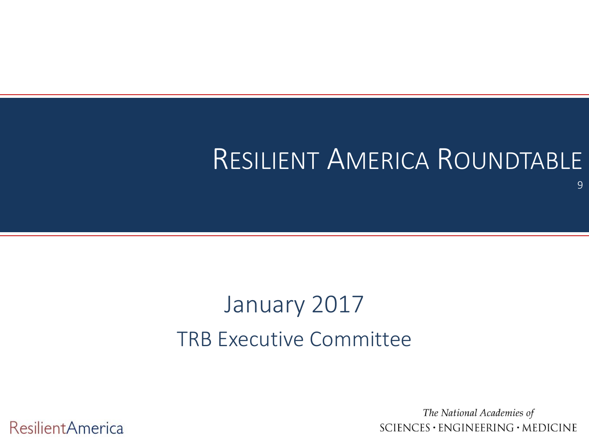#### RESILIENT AMERICA ROUNDTABLE

#### January 2017 TRB Executive Committee

**ResilientAmerica** 

The National Academies of SCIENCES · ENGINEERING · MEDICINE

9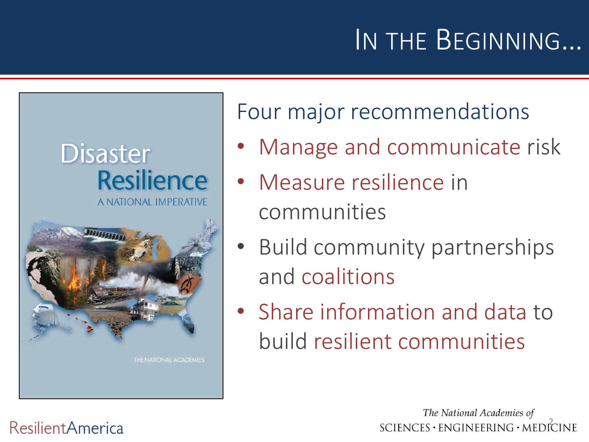# IN THE BEGINNING…





Four major recommendations

- Manage and communicate risk
- Measure resilience in communities
- Build community partnerships and coalitions
- Share information and data to build resilient communities

The National Academies of  $SCIENCES \cdot ENGINEERING \cdot MEDICINE$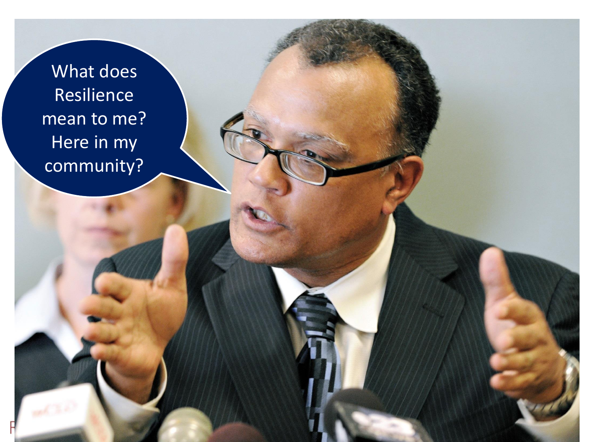What does Resilience mean to me? Here in my community?

3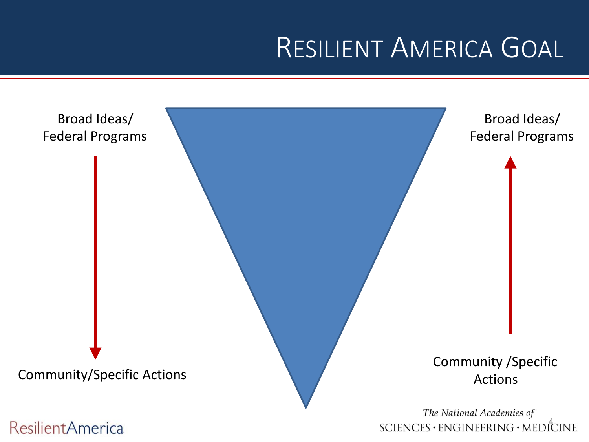#### RESILIENT AMERICA GOAL

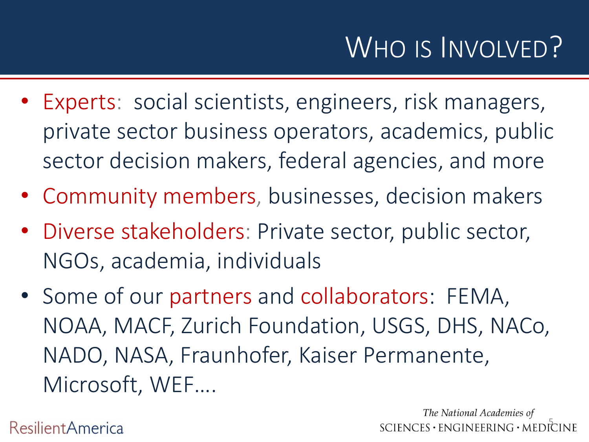- Experts: social scientists, engineers, risk managers, private sector business operators, academics, public sector decision makers, federal agencies, and more
- Community members, businesses, decision makers
- Diverse stakeholders: Private sector, public sector, NGOs, academia, individuals
- Some of our partners and collaborators: FEMA, NOAA, MACF, Zurich Foundation, USGS, DHS, NACo, NADO, NASA, Fraunhofer, Kaiser Permanente, Microsoft, WEF….

**ResilientAmerica** 

The National Academies of  $SCIENCES \cdot ENGINEERING \cdot MEDICINE$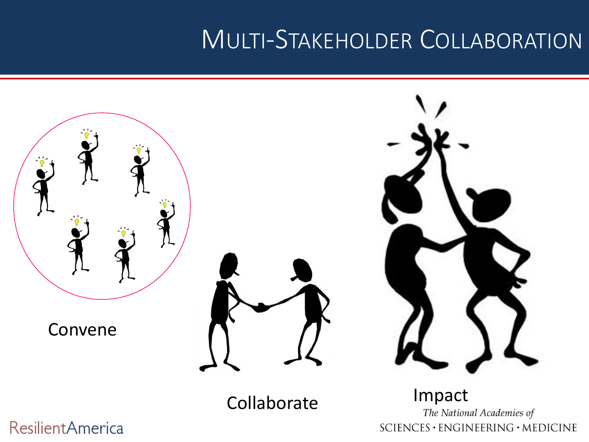#### MULTI-STAKEHOLDER COLLABORATION



SCIENCES · ENGINEERING · MEDICINE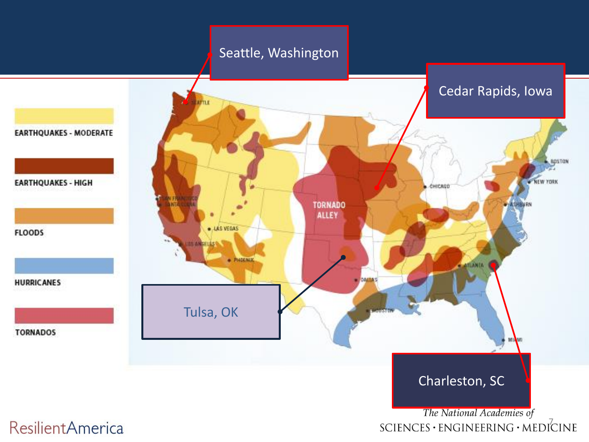#### Seattle, Washington

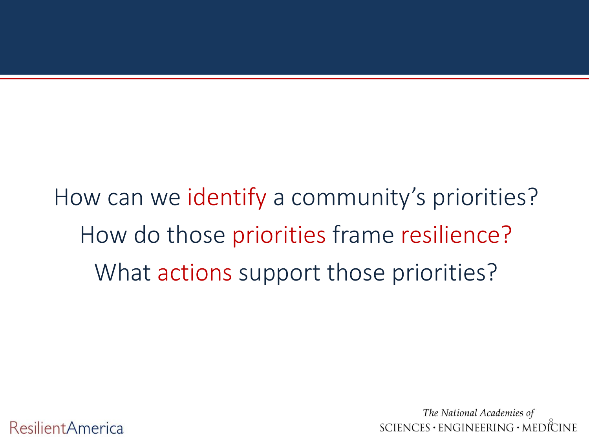How can we identify a community's priorities? How do those priorities frame resilience? What actions support those priorities?

> The National Academies of  $SCIENCES \cdot ENGINEERING \cdot MEDIČINE$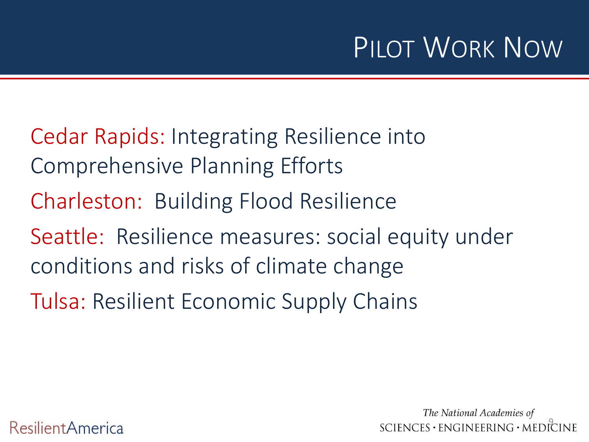## PILOT WORK NOW

- Cedar Rapids: Integrating Resilience into Comprehensive Planning Efforts
- Charleston: Building Flood Resilience
- Seattle: Resilience measures: social equity under conditions and risks of climate change
- Tulsa: Resilient Economic Supply Chains

The National Academies of  $SCIENCES \cdot ENGINEERING \cdot MEDICINE$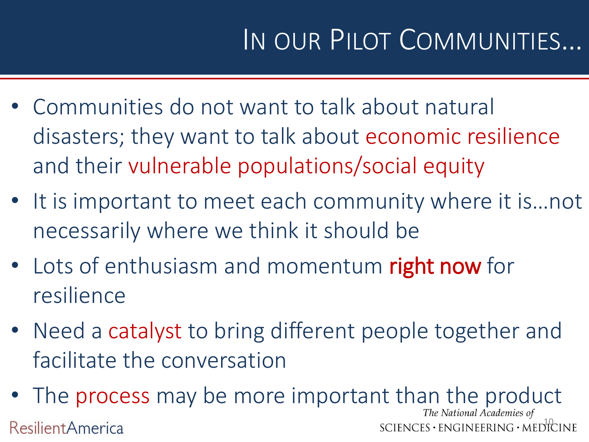# IN OUR PILOT COMMUNITIES…

- Communities do not want to talk about natural disasters; they want to talk about economic resilience and their vulnerable populations/social equity
- It is important to meet each community where it is…not necessarily where we think it should be
- Lots of enthusiasm and momentum right now for resilience
- Need a catalyst to bring different people together and facilitate the conversation
- The process may be more important than the product The National Academies of  $SCIENCES \cdot ENGINEERING \cdot MEDICINE$ **ResilientAmerica**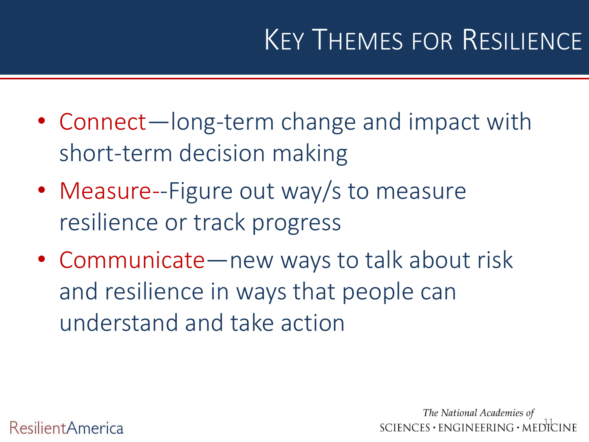## KEY THEMES FOR RESILIENCE

- Connect—long-term change and impact with short-term decision making
- Measure--Figure out way/s to measure resilience or track progress
- Communicate—new ways to talk about risk and resilience in ways that people can understand and take action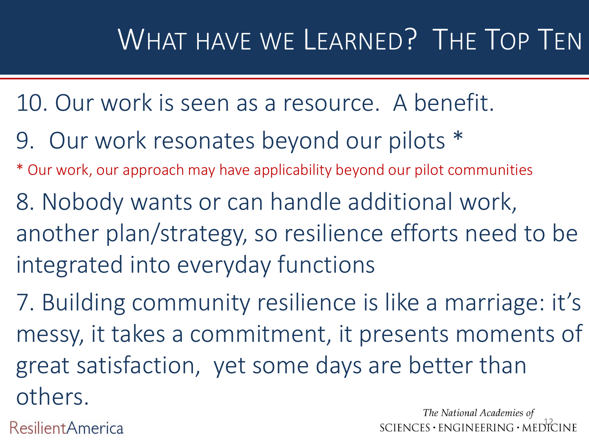## WHAT HAVE WE LEARNED? THE TOP TEN

- 10. Our work is seen as a resource. A benefit.
- 9. Our work resonates beyond our pilots \*
- \* Our work, our approach may have applicability beyond our pilot communities
- 8. Nobody wants or can handle additional work, another plan/strategy, so resilience efforts need to be integrated into everyday functions
- 7. Building community resilience is like a marriage: it's messy, it takes a commitment, it presents moments of great satisfaction, yet some days are better than others.

**ResilientAmerica** 

The National Academies of  $SCIENCES \cdot ENGINEERING \cdot MEDICINE$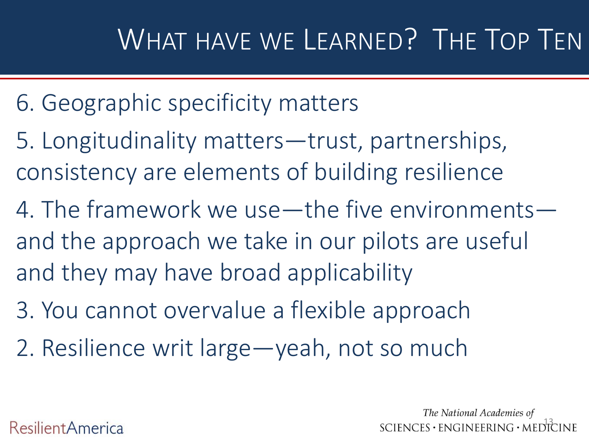- 6. Geographic specificity matters
- 5. Longitudinality matters—trust, partnerships, consistency are elements of building resilience
- 4. The framework we use—the five environments and the approach we take in our pilots are useful and they may have broad applicability
- 3. You cannot overvalue a flexible approach
- 2. Resilience writ large—yeah, not so much

The National Academies of  $SCIENCES \cdot ENGINEERING \cdot MEDICINE$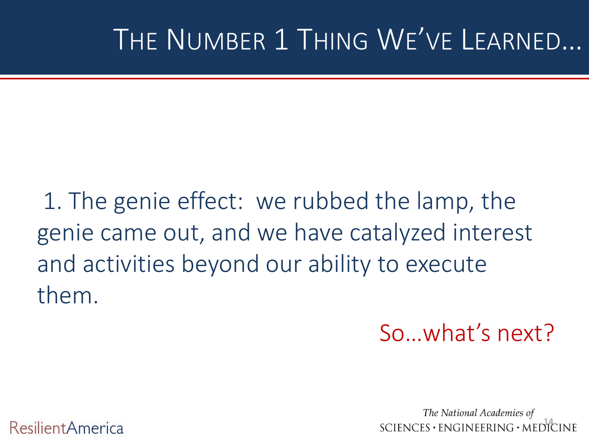## THE NUMBER 1 THING WE'VE LEARNED…

1. The genie effect: we rubbed the lamp, the genie came out, and we have catalyzed interest and activities beyond our ability to execute them.

So…what's next?

The National Academies of  $SCIENCES \cdot ENGINEERING \cdot MEDICINE$